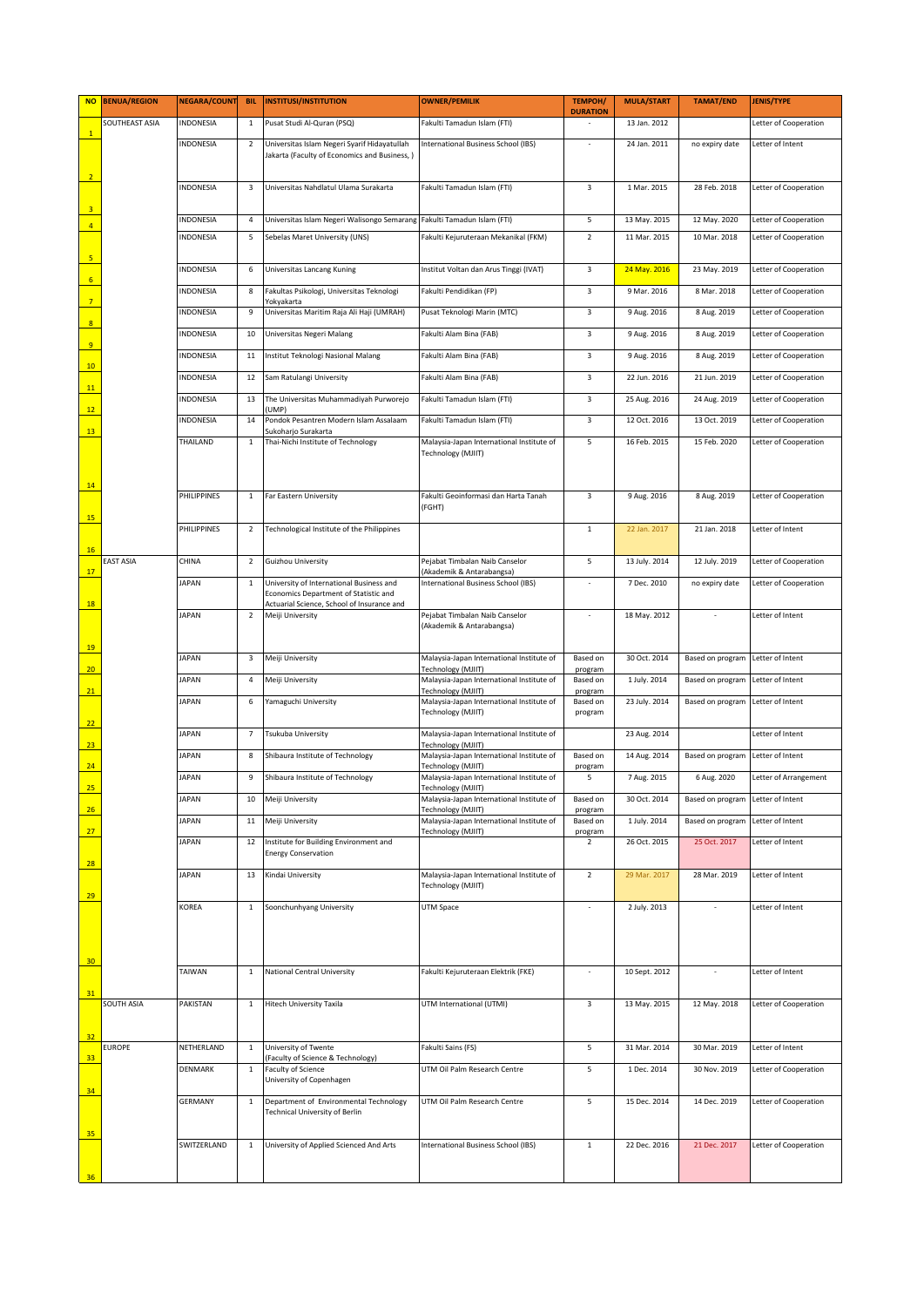|                         | NO BENUA/REGION   | <b>NEGARA/COUNT</b> | <b>BIL</b>     | <b>INSTITUSI/INSTITUTION</b>                                                                                                    | <b>OWNER/PEMILIK</b>                                                                  | <b>TEMPOH/</b><br><b>DURATION</b> | <b>MULA/START</b> | <b>TAMAT/END</b>                  | <b>JENIS/TYPE</b>     |
|-------------------------|-------------------|---------------------|----------------|---------------------------------------------------------------------------------------------------------------------------------|---------------------------------------------------------------------------------------|-----------------------------------|-------------------|-----------------------------------|-----------------------|
| $\overline{1}$          | SOUTHEAST ASIA    | INDONESIA           | $\mathbf{1}$   | Pusat Studi Al-Quran (PSQ)                                                                                                      | Fakulti Tamadun Islam (FTI)                                                           |                                   | 13 Jan. 2012      |                                   | Letter of Cooperation |
| $\overline{2}$          |                   | <b>INDONESIA</b>    | 2              | Universitas Islam Negeri Syarif Hidayatullah<br>Jakarta (Faculty of Economics and Business, )                                   | International Business School (IBS)                                                   | $\sim$                            | 24 Jan. 2011      | no expiry date                    | Letter of Intent      |
| $\overline{\mathbf{3}}$ |                   | <b>INDONESIA</b>    | 3              | Universitas Nahdlatul Ulama Surakarta                                                                                           | Fakulti Tamadun Islam (FTI)                                                           | 3                                 | 1 Mar. 2015       | 28 Feb. 2018                      | Letter of Cooperation |
| $\overline{4}$          |                   | INDONESIA           | 4              | Universitas Islam Negeri Walisongo Semarang                                                                                     | Fakulti Tamadun Islam (FTI)                                                           | 5                                 | 13 May. 2015      | 12 May. 2020                      | Letter of Cooperation |
| $\overline{\mathbf{5}}$ |                   | INDONESIA           | 5              | Sebelas Maret University (UNS)                                                                                                  | Fakulti Kejuruteraan Mekanikal (FKM)                                                  | $\overline{2}$                    | 11 Mar. 2015      | 10 Mar. 2018                      | Letter of Cooperation |
| $\overline{6}$          |                   | INDONESIA           | 6              | Universitas Lancang Kuning                                                                                                      | Institut Voltan dan Arus Tinggi (IVAT)                                                | 3                                 | 24 May. 2016      | 23 May. 2019                      | Letter of Cooperation |
| $\overline{7}$          |                   | INDONESIA           | 8              | Fakultas Psikologi, Universitas Teknologi<br>Yokyakarta                                                                         | Fakulti Pendidikan (FP)                                                               | 3                                 | 9 Mar. 2016       | 8 Mar. 2018                       | Letter of Cooperation |
| $\overline{\mathbf{8}}$ |                   | INDONESIA           | 9              | Universitas Maritim Raja Ali Haji (UMRAH)                                                                                       | Pusat Teknologi Marin (MTC)                                                           | 3                                 | 9 Aug. 2016       | 8 Aug. 2019                       | Letter of Cooperation |
| $\overline{9}$          |                   | INDONESIA           | 10             | Universitas Negeri Malang                                                                                                       | Fakulti Alam Bina (FAB)                                                               | 3                                 | 9 Aug. 2016       | 8 Aug. 2019                       | Letter of Cooperation |
|                         |                   | INDONESIA           | 11             | Institut Teknologi Nasional Malang                                                                                              | Fakulti Alam Bina (FAB)                                                               | 3                                 | 9 Aug. 2016       | 8 Aug. 2019                       | Letter of Cooperation |
| 10                      |                   | INDONESIA           | 12             | Sam Ratulangi University                                                                                                        | Fakulti Alam Bina (FAB)                                                               | 3                                 | 22 Jun. 2016      | 21 Jun. 2019                      | Letter of Cooperation |
| 11                      |                   | INDONESIA           | 13             | The Universitas Muhammadiyah Purworejo                                                                                          | Fakulti Tamadun Islam (FTI)                                                           | 3                                 | 25 Aug. 2016      | 24 Aug. 2019                      | Letter of Cooperation |
| 12                      |                   | INDONESIA           | 14             | UMP)<br>Pondok Pesantren Modern Islam Assalaam                                                                                  | Fakulti Tamadun Islam (FTI)                                                           | 3                                 | 12 Oct. 2016      | 13 Oct. 2019                      | Letter of Cooperation |
| 13                      |                   | THAILAND            | $\mathbf{1}$   | Sukoharjo Surakarta<br>Thai-Nichi Institute of Technology                                                                       | Malaysia-Japan International Institute of                                             | 5                                 | 16 Feb. 2015      | 15 Feb. 2020                      | Letter of Cooperation |
| 14                      |                   |                     |                |                                                                                                                                 | Technology (MJIIT)                                                                    |                                   |                   |                                   |                       |
| 15                      |                   | PHILIPPINES         | $\mathbf{1}$   | Far Eastern University                                                                                                          | Fakulti Geoinformasi dan Harta Tanah<br>(FGHT)                                        | 3                                 | 9 Aug. 2016       | 8 Aug. 2019                       | Letter of Cooperation |
| 16                      |                   | PHILIPPINES         | $\overline{2}$ | Technological Institute of the Philippines                                                                                      |                                                                                       | $\mathbf{1}$                      | 22 Jan. 2017      | 21 Jan. 2018                      | Letter of Intent      |
| 17                      | <b>EAST ASIA</b>  | CHINA               | $\overline{2}$ | Guizhou University                                                                                                              | Pejabat Timbalan Naib Canselor<br>(Akademik & Antarabangsa)                           | 5                                 | 13 July. 2014     | 12 July. 2019                     | Letter of Cooperation |
| 18                      |                   | <b>JAPAN</b>        | $\mathbf{1}$   | University of International Business and<br>Economics Department of Statistic and<br>Actuarial Science, School of Insurance and | International Business School (IBS)                                                   |                                   | 7 Dec. 2010       | no expiry date                    | Letter of Cooperation |
| 19                      |                   | <b>JAPAN</b>        | $\overline{2}$ | Meiji University                                                                                                                | Pejabat Timbalan Naib Canselor<br>(Akademik & Antarabangsa)                           |                                   | 18 May. 2012      |                                   | Letter of Intent      |
|                         |                   | <b>JAPAN</b>        | 3              | Meiji University                                                                                                                | Malaysia-Japan International Institute of                                             | Based on                          | 30 Oct. 2014      | Based on program Letter of Intent |                       |
| 20                      |                   | <b>JAPAN</b>        | 4              | Meiji University                                                                                                                | Technology (MJIIT)<br>Malaysia-Japan International Institute of                       | program<br>Based on               | 1 July. 2014      | Based on program Letter of Intent |                       |
| 21                      |                   | <b>JAPAN</b>        | 6              | Yamaguchi University                                                                                                            | Technology (MJIIT)<br>Malaysia-Japan International Institute of<br>Technology (MJIIT) | program<br>Based on<br>program    | 23 July. 2014     | Based on program Letter of Intent |                       |
| 22<br>$\overline{23}$   |                   | <b>JAPAN</b>        | 7              | Tsukuba University                                                                                                              | Malaysia-Japan International Institute of<br>Technology (MJIIT)                       |                                   | 23 Aug. 2014      |                                   | Letter of Intent      |
| $\overline{24}$         |                   | <b>JAPAN</b>        | 8              | Shibaura Institute of Technology                                                                                                | Malaysia-Japan International Institute of                                             | Based on                          | 14 Aug. 2014      | Based on program Letter of Intent |                       |
|                         |                   | <b>JAPAN</b>        | 9              | Shibaura Institute of Technology                                                                                                | Technology (MJIIT)<br>Malaysia-Japan International Institute of                       | program<br>5                      | 7 Aug. 2015       | 6 Aug. 2020                       | Letter of Arrangement |
| 25                      |                   | <b>JAPAN</b>        | 10             | Meiji University                                                                                                                | Technology (MJIIT)<br>Malaysia-Japan International Institute of                       | Based on                          | 30 Oct. 2014      | Based on program Letter of Intent |                       |
| 26                      |                   | <b>JAPAN</b>        | 11             | Meiji University                                                                                                                | Technology (MJIIT)<br>Malaysia-Japan International Institute of                       | program<br>Based on               | 1 July. 2014      | Based on program                  | Letter of Intent      |
| 27                      |                   | <b>JAPAN</b>        | 12             | Institute for Building Environment and<br><b>Energy Conservation</b>                                                            | Technology (MJIIT)                                                                    | program<br>$\overline{2}$         | 26 Oct. 2015      | 25 Oct. 2017                      | Letter of Intent      |
| 28<br>29                |                   | <b>JAPAN</b>        | 13             | Kindai University                                                                                                               | Malaysia-Japan International Institute of<br>Technology (MJIIT)                       | $\overline{2}$                    | 29 Mar. 2017      | 28 Mar. 2019                      | Letter of Intent      |
| 30                      |                   | KOREA               | $\mathbf{1}$   | Soonchunhyang University                                                                                                        | UTM Space                                                                             |                                   | 2 July. 2013      |                                   | Letter of Intent      |
| 31                      |                   | TAIWAN              | $\,1\,$        | <b>National Central University</b>                                                                                              | Fakulti Kejuruteraan Elektrik (FKE)                                                   |                                   | 10 Sept. 2012     |                                   | Letter of Intent      |
| 32                      | <b>SOUTH ASIA</b> | PAKISTAN            | $\mathbf{1}$   | <b>Hitech University Taxila</b>                                                                                                 | UTM International (UTMI)                                                              | 3                                 | 13 May. 2015      | 12 May. 2018                      | Letter of Cooperation |
| 33                      | <b>EUROPE</b>     | NETHERLAND          | $\mathbf{1}$   | University of Twente<br>(Faculty of Science & Technology)                                                                       | Fakulti Sains (FS)                                                                    | 5                                 | 31 Mar. 2014      | 30 Mar. 2019                      | Letter of Intent      |
| 34                      |                   | DENMARK             | $\mathbf{1}$   | <b>Faculty of Science</b><br>University of Copenhagen                                                                           | UTM Oil Palm Research Centre                                                          | 5                                 | 1 Dec. 2014       | 30 Nov. 2019                      | Letter of Cooperation |
| 35                      |                   | <b>GERMANY</b>      | $\mathbf{1}$   | Department of Environmental Technology<br>Technical University of Berlin                                                        | UTM Oil Palm Research Centre                                                          | 5                                 | 15 Dec. 2014      | 14 Dec. 2019                      | Letter of Cooperation |
| 36                      |                   | SWITZERLAND         | $\mathbf{1}$   | University of Applied Scienced And Arts                                                                                         | International Business School (IBS)                                                   | $\mathbf 1$                       | 22 Dec. 2016      | 21 Dec. 2017                      | Letter of Cooperation |